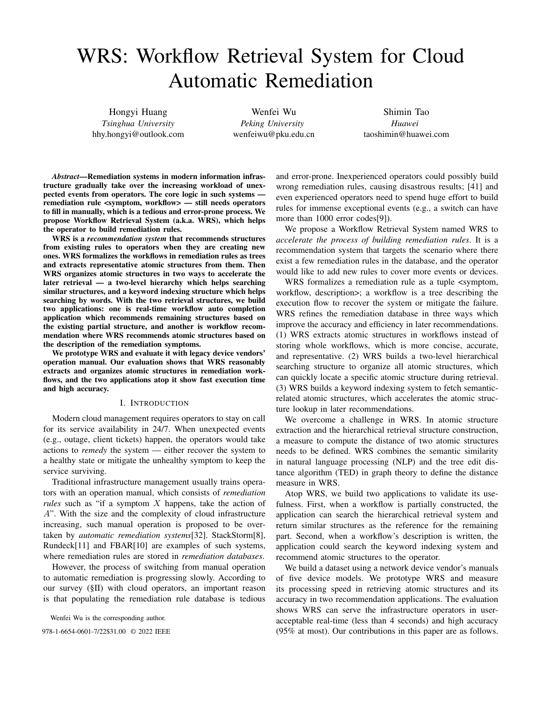# WRS: Workflow Retrieval System for Cloud Automatic Remediation

Hongyi Huang *Tsinghua University* hhy.hongyi@outlook.com

Wenfei Wu *Peking University* wenfeiwu@pku.edu.cn

Shimin Tao *Huawei* taoshimin@huawei.com

*Abstract*—Remediation systems in modern information infrastructure gradually take over the increasing workload of unexpected events from operators. The core logic in such systems remediation rule <symptom, workflow> — still needs operators to fill in manually, which is a tedious and error-prone process. We propose Workflow Retrieval System (a.k.a. WRS), which helps the operator to build remediation rules.

WRS is a *recommendation system* that recommends structures from existing rules to operators when they are creating new ones. WRS formalizes the workflows in remediation rules as trees and extracts representative atomic structures from them. Then WRS organizes atomic structures in two ways to accelerate the later retrieval — a two-level hierarchy which helps searching similar structures, and a keyword indexing structure which helps searching by words. With the two retrieval structures, we build two applications: one is real-time workflow auto completion application which recommends remaining structures based on the existing partial structure, and another is workflow recommendation where WRS recommends atomic structures based on the description of the remediation symptoms.

We prototype WRS and evaluate it with legacy device vendors' operation manual. Our evaluation shows that WRS reasonably extracts and organizes atomic structures in remediation workflows, and the two applications atop it show fast execution time and high accuracy.

#### I. INTRODUCTION

Modern cloud management requires operators to stay on call for its service availability in 24/7. When unexpected events (e.g., outage, client tickets) happen, the operators would take actions to *remedy* the system — either recover the system to a healthy state or mitigate the unhealthy symptom to keep the service surviving.

Traditional infrastructure management usually trains operators with an operation manual, which consists of *remediation rules* such as "if a symptom X happens, take the action of A". With the size and the complexity of cloud infrastructure increasing, such manual operation is proposed to be overtaken by *automatic remediation systems*[32]. StackStorm[8], Rundeck[11] and FBAR[10] are examples of such systems, where remediation rules are stored in *remediation databases*.

However, the process of switching from manual operation to automatic remediation is progressing slowly. According to our survey (§II) with cloud operators, an important reason is that populating the remediation rule database is tedious

Wenfei Wu is the corresponding author.

and error-prone. Inexperienced operators could possibly build wrong remediation rules, causing disastrous results; [41] and even experienced operators need to spend huge effort to build rules for immense exceptional events (e.g., a switch can have more than 1000 error codes[9]).

We propose a Workflow Retrieval System named WRS to *accelerate the process of building remediation rules*. It is a recommendation system that targets the scenario where there exist a few remediation rules in the database, and the operator would like to add new rules to cover more events or devices.

WRS formalizes a remediation rule as a tuple <symptom, workflow, description>; a workflow is a tree describing the execution flow to recover the system or mitigate the failure. WRS refines the remediation database in three ways which improve the accuracy and efficiency in later recommendations. (1) WRS extracts atomic structures in workflows instead of storing whole workflows, which is more concise, accurate, and representative. (2) WRS builds a two-level hierarchical searching structure to organize all atomic structures, which can quickly locate a specific atomic structure during retrieval. (3) WRS builds a keyword indexing system to fetch semanticrelated atomic structures, which accelerates the atomic structure lookup in later recommendations.

We overcome a challenge in WRS. In atomic structure extraction and the hierarchical retrieval structure construction, a measure to compute the distance of two atomic structures needs to be defined. WRS combines the semantic similarity in natural language processing (NLP) and the tree edit distance algorithm (TED) in graph theory to define the distance measure in WRS.

Atop WRS, we build two applications to validate its usefulness. First, when a workflow is partially constructed, the application can search the hierarchical retrieval system and return similar structures as the reference for the remaining part. Second, when a workflow's description is written, the application could search the keyword indexing system and recommend atomic structures to the operator.

We build a dataset using a network device vendor's manuals of five device models. We prototype WRS and measure its processing speed in retrieving atomic structures and its accuracy in two recommendation applications. The evaluation shows WRS can serve the infrastructure operators in useracceptable real-time (less than 4 seconds) and high accuracy 978-1-6654-0601-7/22\$31.00 © 2022 IEEE (95% at most). Our contributions in this paper are as follows.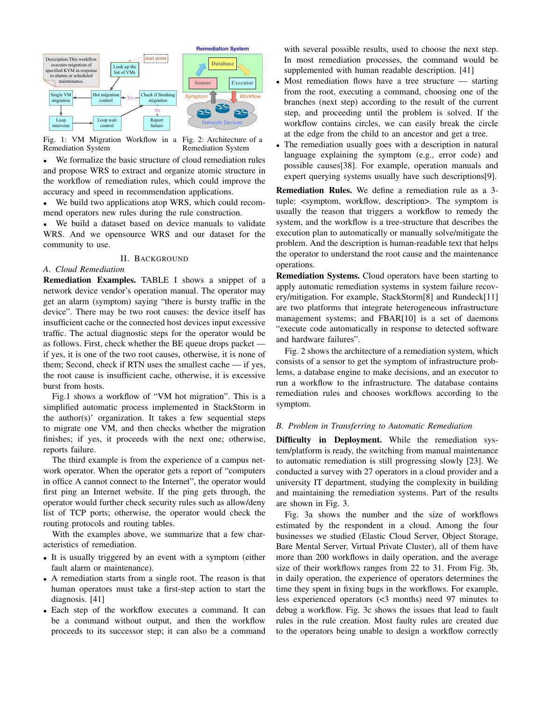

Fig. 1: VM Migration Workflow in a Fig. 2: Architecture of a Remediation System Remediation System

• We formalize the basic structure of cloud remediation rules and propose WRS to extract and organize atomic structure in the workflow of remediation rules, which could improve the accuracy and speed in recommendation applications.

• We build two applications atop WRS, which could recommend operators new rules during the rule construction.

We build a dataset based on device manuals to validate WRS. And we opensource WRS and our dataset for the community to use.

## II. BACKGROUND

## *A. Cloud Remediation*

Remediation Examples. TABLE I shows a snippet of a network device vendor's operation manual. The operator may get an alarm (symptom) saying "there is bursty traffic in the device". There may be two root causes: the device itself has insufficient cache or the connected host devices input excessive traffic. The actual diagnostic steps for the operator would be as follows. First, check whether the BE queue drops packet if yes, it is one of the two root causes, otherwise, it is none of them; Second, check if RTN uses the smallest cache — if yes, the root cause is insufficient cache, otherwise, it is excessive burst from hosts.

Fig.1 shows a workflow of "VM hot migration". This is a simplified automatic process implemented in StackStorm in the author(s)' organization. It takes a few sequential steps to migrate one VM, and then checks whether the migration finishes; if yes, it proceeds with the next one; otherwise, reports failure.

The third example is from the experience of a campus network operator. When the operator gets a report of "computers in office A cannot connect to the Internet", the operator would first ping an Internet website. If the ping gets through, the operator would further check security rules such as allow/deny list of TCP ports; otherwise, the operator would check the routing protocols and routing tables.

With the examples above, we summarize that a few characteristics of remediation.

- It is usually triggered by an event with a symptom (either fault alarm or maintenance).
- A remediation starts from a single root. The reason is that human operators must take a first-step action to start the diagnosis. [41]
- Each step of the workflow executes a command. It can be a command without output, and then the workflow proceeds to its successor step; it can also be a command

with several possible results, used to choose the next step. In most remediation processes, the command would be supplemented with human readable description. [41]

- Most remediation flows have a tree structure starting from the root, executing a command, choosing one of the branches (next step) according to the result of the current step, and proceeding until the problem is solved. If the workflow contains circles, we can easily break the circle at the edge from the child to an ancestor and get a tree.
- The remediation usually goes with a description in natural language explaining the symptom (e.g., error code) and possible causes[38]. For example, operation manuals and expert querying systems usually have such descriptions[9].

Remediation Rules. We define a remediation rule as a 3 tuple: <symptom, workflow, description>. The symptom is usually the reason that triggers a workflow to remedy the system, and the workflow is a tree-structure that describes the execution plan to automatically or manually solve/mitigate the problem. And the description is human-readable text that helps the operator to understand the root cause and the maintenance operations.

Remediation Systems. Cloud operators have been starting to apply automatic remediation systems in system failure recovery/mitigation. For example, StackStorm[8] and Rundeck[11] are two platforms that integrate heterogeneous infrastructure management systems; and FBAR[10] is a set of daemons "execute code automatically in response to detected software and hardware failures".

Fig. 2 shows the architecture of a remediation system, which consists of a sensor to get the symptom of infrastructure problems, a database engine to make decisions, and an executor to run a workflow to the infrastructure. The database contains remediation rules and chooses workflows according to the symptom.

## *B. Problem in Transferring to Automatic Remediation*

Difficulty in Deployment. While the remediation system/platform is ready, the switching from manual maintenance to automatic remediation is still progressing slowly [23]. We conducted a survey with 27 operators in a cloud provider and a university IT department, studying the complexity in building and maintaining the remediation systems. Part of the results are shown in Fig. 3.

Fig. 3a shows the number and the size of workflows estimated by the respondent in a cloud. Among the four businesses we studied (Elastic Cloud Server, Object Storage, Bare Mental Server, Virtual Private Cluster), all of them have more than 200 workflows in daily operation, and the average size of their workflows ranges from 22 to 31. From Fig. 3b, in daily operation, the experience of operators determines the time they spent in fixing bugs in the workflows. For example, less experienced operators (<3 months) need 97 minutes to debug a workflow. Fig. 3c shows the issues that lead to fault rules in the rule creation. Most faulty rules are created due to the operators being unable to design a workflow correctly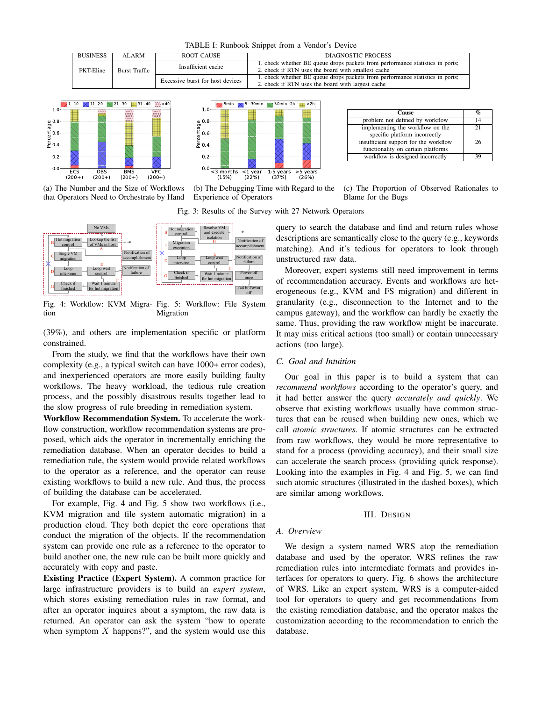TABLE I: Runbook Snippet from a Vendor's Device



5min  $\sqrt{5}$ ~30min  $\sqrt{30}$ min~2h  $\frac{1}{10}$ >2h



<3 months (15%) <1 year (22%) 1-5 years (37%) >5 years (26%)  $0.0 0.2$  $0.4$   $0.6$  $\begin{array}{c} 0.8 \\ \text{ge 0.6} \\ \text{e.6} \\ \text{e.0.4} \end{array}$ 1.0

**Cause**  $\frac{\%}{\%}$   $\frac{\%}{\%}$ problem not defined by workflow implementing the workflow on the specific platform incorrectly  $\overline{21}$ insufficient support for the workflow functionality on certain platforms 26 workflow is designed incorrectly 39

(a) The Number and the Size of Workflows that Operators Need to Orchestrate by Hand

(b) The Debugging Time with Regard to the Experience of Operators

(c) The Proportion of Observed Rationales to Blame for the Bugs

Fig. 3: Results of the Survey with 27 Network Operators



Fig. 4: Workflow: KVM Migra-Fig. 5: Workflow: File System tion Migration

(39%), and others are implementation specific or platform constrained.

From the study, we find that the workflows have their own complexity (e.g., a typical switch can have 1000+ error codes), and inexperienced operators are more easily building faulty workflows. The heavy workload, the tedious rule creation process, and the possibly disastrous results together lead to the slow progress of rule breeding in remediation system.

Workflow Recommendation System. To accelerate the workflow construction, workflow recommendation systems are proposed, which aids the operator in incrementally enriching the remediation database. When an operator decides to build a remediation rule, the system would provide related workflows to the operator as a reference, and the operator can reuse existing workflows to build a new rule. And thus, the process of building the database can be accelerated.

For example, Fig. 4 and Fig. 5 show two workflows (i.e., KVM migration and file system automatic migration) in a production cloud. They both depict the core operations that conduct the migration of the objects. If the recommendation system can provide one rule as a reference to the operator to build another one, the new rule can be built more quickly and accurately with copy and paste.

Existing Practice (Expert System). A common practice for large infrastructure providers is to build an *expert system*, which stores existing remediation rules in raw format, and after an operator inquires about a symptom, the raw data is returned. An operator can ask the system "how to operate when symptom  $X$  happens?", and the system would use this

query to search the database and find and return rules whose descriptions are semantically close to the query (e.g., keywords matching). And it's tedious for operators to look through unstructured raw data.

Moreover, expert systems still need improvement in terms of recommendation accuracy. Events and workflows are heterogeneous (e.g., KVM and FS migration) and different in granularity (e.g., disconnection to the Internet and to the campus gateway), and the workflow can hardly be exactly the same. Thus, providing the raw workflow might be inaccurate. It may miss critical actions (too small) or contain unnecessary actions (too large).

## *C. Goal and Intuition*

Our goal in this paper is to build a system that can *recommend workflows* according to the operator's query, and it had better answer the query *accurately and quickly*. We observe that existing workflows usually have common structures that can be reused when building new ones, which we call *atomic structures*. If atomic structures can be extracted from raw workflows, they would be more representative to stand for a process (providing accuracy), and their small size can accelerate the search process (providing quick response). Looking into the examples in Fig. 4 and Fig. 5, we can find such atomic structures (illustrated in the dashed boxes), which are similar among workflows.

#### III. DESIGN

#### *A. Overview*

We design a system named WRS atop the remediation database and used by the operator. WRS refines the raw remediation rules into intermediate formats and provides interfaces for operators to query. Fig. 6 shows the architecture of WRS. Like an expert system, WRS is a computer-aided tool for operators to query and get recommendations from the existing remediation database, and the operator makes the customization according to the recommendation to enrich the database.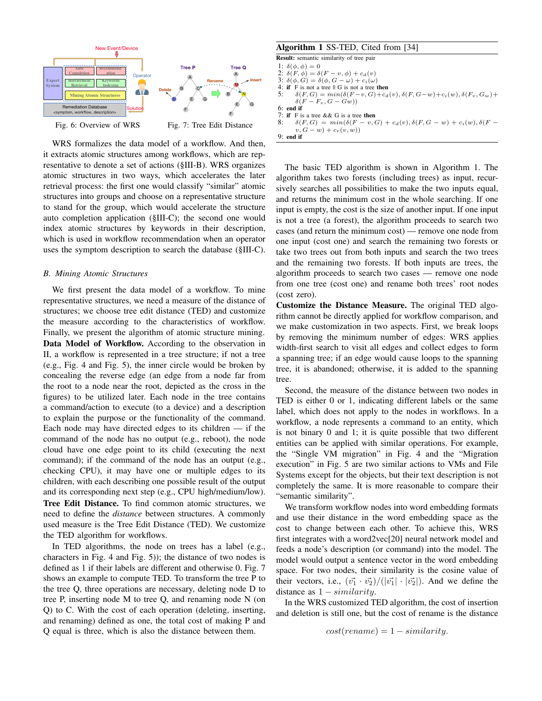

WRS formalizes the data model of a workflow. And then, it extracts atomic structures among workflows, which are representative to denote a set of actions (§III-B). WRS organizes atomic structures in two ways, which accelerates the later retrieval process: the first one would classify "similar" atomic structures into groups and choose on a representative structure to stand for the group, which would accelerate the structure auto completion application (§III-C); the second one would index atomic structures by keywords in their description, which is used in workflow recommendation when an operator uses the symptom description to search the database (§III-C).

#### *B. Mining Atomic Structures*

We first present the data model of a workflow. To mine representative structures, we need a measure of the distance of structures; we choose tree edit distance (TED) and customize the measure according to the characteristics of workflow. Finally, we present the algorithm of atomic structure mining. Data Model of Workflow. According to the observation in II, a workflow is represented in a tree structure; if not a tree (e.g., Fig. 4 and Fig. 5), the inner circle would be broken by concealing the reverse edge (an edge from a node far from the root to a node near the root, depicted as the cross in the figures) to be utilized later. Each node in the tree contains a command/action to execute (to a device) and a description to explain the purpose or the functionality of the command. Each node may have directed edges to its children — if the command of the node has no output (e.g., reboot), the node cloud have one edge point to its child (executing the next command); if the command of the node has an output (e.g., checking CPU), it may have one or multiple edges to its children, with each describing one possible result of the output and its corresponding next step (e.g., CPU high/medium/low).

Tree Edit Distance. To find common atomic structures, we need to define the *distance* between structures. A commonly used measure is the Tree Edit Distance (TED). We customize the TED algorithm for workflows.

In TED algorithms, the node on trees has a label (e.g., characters in Fig. 4 and Fig. 5)); the distance of two nodes is defined as 1 if their labels are different and otherwise 0. Fig. 7 shows an example to compute TED. To transform the tree P to the tree Q, three operations are necessary, deleting node D to tree P, inserting node M to tree Q, and renaming node N (on Q) to C. With the cost of each operation (deleting, inserting, and renaming) defined as one, the total cost of making P and Q equal is three, which is also the distance between them.

## Algorithm 1 SS-TED, Cited from [34]

Result: semantic similarity of tree pair 1:  $\delta(\phi, \phi) = 0$ 2:  $\delta(F, \phi) = \delta(F - v, \phi) + c_d(v)$ 3:  $\delta(\phi, G) = \delta(\phi, G - \omega) + c_i(\omega)$ 4: if F is not a tree  $||$  G is not a tree then<br>5:  $\delta(F, G) = min(\delta(F - v, G) + c_d)$  $\delta(F, G) = min(\delta(F - v, G) + c_d(v), \delta(F, G - w) + c_i(w), \delta(F_v, G_w) + c_d(v))$  $\delta(F - F_v, G - Gw))$ 6: end if 7: if F is a tree && G is a tree then 8:  $\delta(F, G) = min(\delta(F - v, G) + c_d(v), \delta(F, G - w) + c_i(w), \delta(F - w))$  $v, G - w) + c_r(v, w)$ 9: end if

The basic TED algorithm is shown in Algorithm 1. The algorithm takes two forests (including trees) as input, recursively searches all possibilities to make the two inputs equal, and returns the minimum cost in the whole searching. If one input is empty, the cost is the size of another input. If one input is not a tree (a forest), the algorithm proceeds to search two cases (and return the minimum cost) — remove one node from one input (cost one) and search the remaining two forests or take two trees out from both inputs and search the two trees and the remaining two forests. If both inputs are trees, the algorithm proceeds to search two cases — remove one node from one tree (cost one) and rename both trees' root nodes (cost zero).

Customize the Distance Measure. The original TED algorithm cannot be directly applied for workflow comparison, and we make customization in two aspects. First, we break loops by removing the minimum number of edges: WRS applies width-first search to visit all edges and collect edges to form a spanning tree; if an edge would cause loops to the spanning tree, it is abandoned; otherwise, it is added to the spanning tree.

Second, the measure of the distance between two nodes in TED is either 0 or 1, indicating different labels or the same label, which does not apply to the nodes in workflows. In a workflow, a node represents a command to an entity, which is not binary 0 and 1; it is quite possible that two different entities can be applied with similar operations. For example, the "Single VM migration" in Fig. 4 and the "Migration execution" in Fig. 5 are two similar actions to VMs and File Systems except for the objects, but their text description is not completely the same. It is more reasonable to compare their "semantic similarity".

We transform workflow nodes into word embedding formats and use their distance in the word embedding space as the cost to change between each other. To achieve this, WRS first integrates with a word2vec[20] neural network model and feeds a node's description (or command) into the model. The model would output a sentence vector in the word embedding space. For two nodes, their similarity is the cosine value of their vectors, i.e.,  $(\vec{v_1} \cdot \vec{v_2})/(|\vec{v_1}| \cdot |\vec{v_2}|)$ . And we define the distance as  $1 - similarity$ .

In the WRS customized TED algorithm, the cost of insertion and deletion is still one, but the cost of rename is the distance

$$
cost(rename) = 1 - similarity.
$$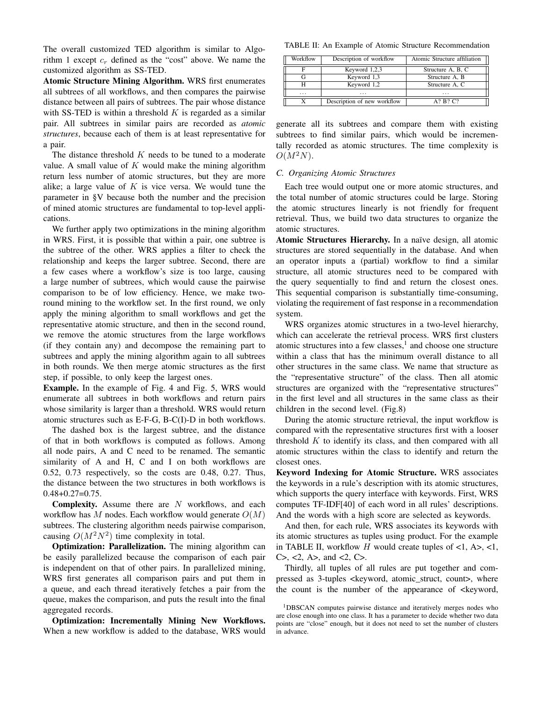The overall customized TED algorithm is similar to Algorithm 1 except  $c_r$  defined as the "cost" above. We name the customized algorithm as SS-TED.

Atomic Structure Mining Algorithm. WRS first enumerates all subtrees of all workflows, and then compares the pairwise distance between all pairs of subtrees. The pair whose distance with SS-TED is within a threshold  $K$  is regarded as a similar pair. All subtrees in similar pairs are recorded as *atomic structures*, because each of them is at least representative for a pair.

The distance threshold  $K$  needs to be tuned to a moderate value. A small value of  $K$  would make the mining algorithm return less number of atomic structures, but they are more alike; a large value of  $K$  is vice versa. We would tune the parameter in §V because both the number and the precision of mined atomic structures are fundamental to top-level applications.

We further apply two optimizations in the mining algorithm in WRS. First, it is possible that within a pair, one subtree is the subtree of the other. WRS applies a filter to check the relationship and keeps the larger subtree. Second, there are a few cases where a workflow's size is too large, causing a large number of subtrees, which would cause the pairwise comparison to be of low efficiency. Hence, we make tworound mining to the workflow set. In the first round, we only apply the mining algorithm to small workflows and get the representative atomic structure, and then in the second round, we remove the atomic structures from the large workflows (if they contain any) and decompose the remaining part to subtrees and apply the mining algorithm again to all subtrees in both rounds. We then merge atomic structures as the first step, if possible, to only keep the largest ones.

Example. In the example of Fig. 4 and Fig. 5, WRS would enumerate all subtrees in both workflows and return pairs whose similarity is larger than a threshold. WRS would return atomic structures such as E-F-G, B-C(I)-D in both workflows.

The dashed box is the largest subtree, and the distance of that in both workflows is computed as follows. Among all node pairs, A and C need to be renamed. The semantic similarity of A and H, C and I on both workflows are 0.52, 0.73 respectively, so the costs are 0.48, 0.27. Thus, the distance between the two structures in both workflows is  $0.48 + 0.27 = 0.75$ .

**Complexity.** Assume there are  $N$  workflows, and each workflow has  $M$  nodes. Each workflow would generate  $O(M)$ subtrees. The clustering algorithm needs pairwise comparison, causing  $O(M^2N^2)$  time complexity in total.

**Optimization: Parallelization.** The mining algorithm can be easily parallelized because the comparison of each pair is independent on that of other pairs. In parallelized mining, WRS first generates all comparison pairs and put them in a queue, and each thread iteratively fetches a pair from the queue, makes the comparison, and puts the result into the final aggregated records.

Optimization: Incrementally Mining New Workflows. When a new workflow is added to the database, WRS would

TABLE II: An Example of Atomic Structure Recommendation

| Workflow | Description of workflow     | Atomic Structure affiliation |
|----------|-----------------------------|------------------------------|
|          | Keyword 1,2,3               | Structure A, B, C            |
|          | Keyword 1,3                 | Structure A, B               |
|          | Keyword 1,2                 | Structure A, C               |
| $\cdots$ | $\cdot$ $\cdot$ $\cdot$     | $\cdot$                      |
|          | Description of new workflow | A? B? C?                     |

generate all its subtrees and compare them with existing subtrees to find similar pairs, which would be incrementally recorded as atomic structures. The time complexity is  $O(M^2N)$ .

## *C. Organizing Atomic Structures*

Each tree would output one or more atomic structures, and the total number of atomic structures could be large. Storing the atomic structures linearly is not friendly for frequent retrieval. Thus, we build two data structures to organize the atomic structures.

Atomic Structures Hierarchy. In a naïve design, all atomic structures are stored sequentially in the database. And when an operator inputs a (partial) workflow to find a similar structure, all atomic structures need to be compared with the query sequentially to find and return the closest ones. This sequential comparison is substantially time-consuming, violating the requirement of fast response in a recommendation system.

WRS organizes atomic structures in a two-level hierarchy, which can accelerate the retrieval process. WRS first clusters atomic structures into a few classes,<sup>1</sup> and choose one structure within a class that has the minimum overall distance to all other structures in the same class. We name that structure as the "representative structure" of the class. Then all atomic structures are organized with the "representative structures" in the first level and all structures in the same class as their children in the second level. (Fig.8)

During the atomic structure retrieval, the input workflow is compared with the representative structures first with a looser threshold  $K$  to identify its class, and then compared with all atomic structures within the class to identify and return the closest ones.

Keyword Indexing for Atomic Structure. WRS associates the keywords in a rule's description with its atomic structures, which supports the query interface with keywords. First, WRS computes TF-IDF[40] of each word in all rules' descriptions. And the words with a high score are selected as keywords.

And then, for each rule, WRS associates its keywords with its atomic structures as tuples using product. For the example in TABLE II, workflow H would create tuples of  $\langle 1, A \rangle, \langle 1, A \rangle$  $C$ , <2,  $A$ , and <2,  $C$ .

Thirdly, all tuples of all rules are put together and compressed as 3-tuples <keyword, atomic\_struct, count>, where the count is the number of the appearance of <keyword,

<sup>&</sup>lt;sup>1</sup>DBSCAN computes pairwise distance and iteratively merges nodes who are close enough into one class. It has a parameter to decide whether two data points are "close" enough, but it does not need to set the number of clusters in advance.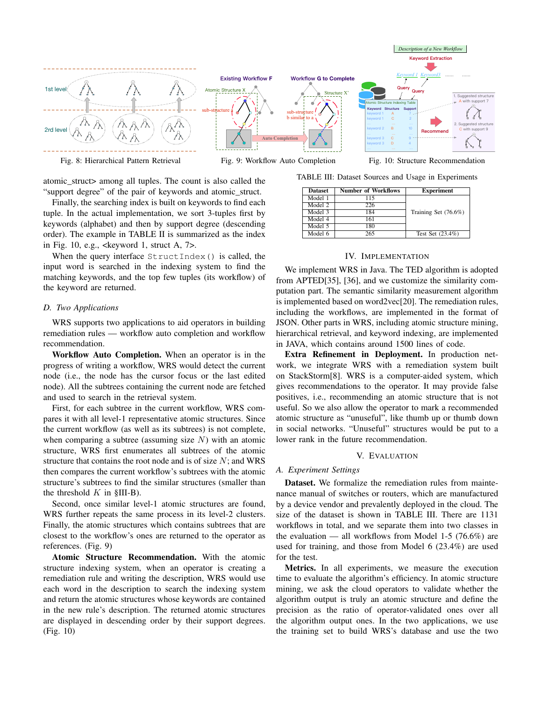

Fig. 8: Hierarchical Pattern Retrieval

Fig. 9: Workflow Auto Completion

atomic\_struct> among all tuples. The count is also called the "support degree" of the pair of keywords and atomic\_struct.

Finally, the searching index is built on keywords to find each tuple. In the actual implementation, we sort 3-tuples first by keywords (alphabet) and then by support degree (descending order). The example in TABLE II is summarized as the index in Fig. 10, e.g.,  $\leq$ keyword 1, struct A, 7>.

When the query interface  $StructIndex()$  is called, the input word is searched in the indexing system to find the matching keywords, and the top few tuples (its workflow) of the keyword are returned.

## *D. Two Applications*

WRS supports two applications to aid operators in building remediation rules — workflow auto completion and workflow recommendation.

Workflow Auto Completion. When an operator is in the progress of writing a workflow, WRS would detect the current node (i.e., the node has the cursor focus or the last edited node). All the subtrees containing the current node are fetched and used to search in the retrieval system.

First, for each subtree in the current workflow, WRS compares it with all level-1 representative atomic structures. Since the current workflow (as well as its subtrees) is not complete, when comparing a subtree (assuming size  $N$ ) with an atomic structure, WRS first enumerates all subtrees of the atomic structure that contains the root node and is of size  $N$ ; and WRS then compares the current workflow's subtrees with the atomic structure's subtrees to find the similar structures (smaller than the threshold  $K$  in §III-B).

Second, once similar level-1 atomic structures are found, WRS further repeats the same process in its level-2 clusters. Finally, the atomic structures which contains subtrees that are closest to the workflow's ones are returned to the operator as references. (Fig. 9)

Atomic Structure Recommendation. With the atomic structure indexing system, when an operator is creating a remediation rule and writing the description, WRS would use each word in the description to search the indexing system and return the atomic structures whose keywords are contained in the new rule's description. The returned atomic structures are displayed in descending order by their support degrees. (Fig. 10)

TABLE III: Dataset Sources and Usage in Experiments

| <b>Dataset</b> | <b>Number of Workflows</b> | <b>Experiment</b>    |
|----------------|----------------------------|----------------------|
| Model 1        | 115                        |                      |
| Model 2        | 226                        |                      |
| Model 3        | 184                        | Training Set (76.6%) |
| Model 4        | 161                        |                      |
| Model 5        | 180                        |                      |
| Model 6        | 265                        | Test Set $(23.4\%)$  |
|                |                            |                      |

#### IV. IMPLEMENTATION

We implement WRS in Java. The TED algorithm is adopted from APTED[35], [36], and we customize the similarity computation part. The semantic similarity measurement algorithm is implemented based on word2vec[20]. The remediation rules, including the workflows, are implemented in the format of JSON. Other parts in WRS, including atomic structure mining, hierarchical retrieval, and keyword indexing, are implemented in JAVA, which contains around 1500 lines of code.

Extra Refinement in Deployment. In production network, we integrate WRS with a remediation system built on StackStorm[8]. WRS is a computer-aided system, which gives recommendations to the operator. It may provide false positives, i.e., recommending an atomic structure that is not useful. So we also allow the operator to mark a recommended atomic structure as "unuseful", like thumb up or thumb down in social networks. "Unuseful" structures would be put to a lower rank in the future recommendation.

#### V. EVALUATION

#### *A. Experiment Settings*

Dataset. We formalize the remediation rules from maintenance manual of switches or routers, which are manufactured by a device vendor and prevalently deployed in the cloud. The size of the dataset is shown in TABLE III. There are 1131 workflows in total, and we separate them into two classes in the evaluation — all workflows from Model 1-5 (76.6%) are used for training, and those from Model 6 (23.4%) are used for the test.

Metrics. In all experiments, we measure the execution time to evaluate the algorithm's efficiency. In atomic structure mining, we ask the cloud operators to validate whether the algorithm output is truly an atomic structure and define the precision as the ratio of operator-validated ones over all the algorithm output ones. In the two applications, we use the training set to build WRS's database and use the two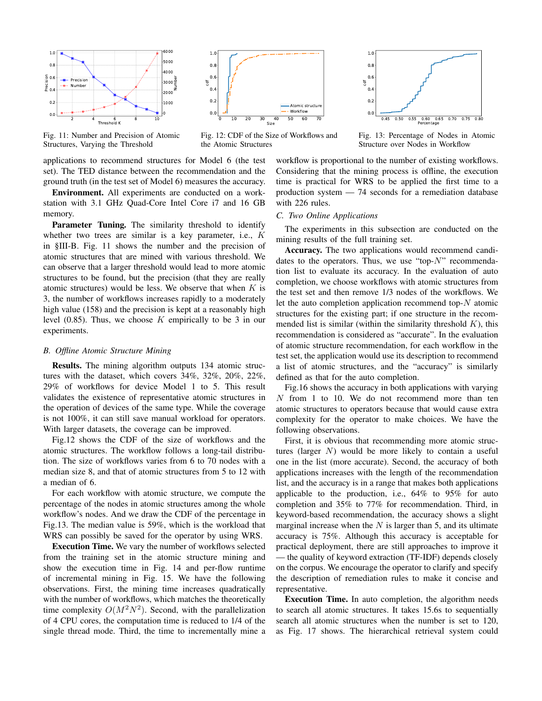

Fig. 11: Number and Precision of Atomic Structures, Varying the Threshold

applications to recommend structures for Model 6 (the test set). The TED distance between the recommendation and the ground truth (in the test set of Model 6) measures the accuracy.

Environment. All experiments are conducted on a workstation with 3.1 GHz Quad-Core Intel Core i7 and 16 GB memory.

Parameter Tuning. The similarity threshold to identify whether two trees are similar is a key parameter, i.e., K in §III-B. Fig. 11 shows the number and the precision of atomic structures that are mined with various threshold. We can observe that a larger threshold would lead to more atomic structures to be found, but the precision (that they are really atomic structures) would be less. We observe that when  $K$  is 3, the number of workflows increases rapidly to a moderately high value (158) and the precision is kept at a reasonably high level  $(0.85)$ . Thus, we choose K empirically to be 3 in our experiments.

### *B. Offline Atomic Structure Mining*

Results. The mining algorithm outputs 134 atomic structures with the dataset, which covers 34%, 32%, 20%, 22%, 29% of workflows for device Model 1 to 5. This result validates the existence of representative atomic structures in the operation of devices of the same type. While the coverage is not 100%, it can still save manual workload for operators. With larger datasets, the coverage can be improved.

Fig.12 shows the CDF of the size of workflows and the atomic structures. The workflow follows a long-tail distribution. The size of workflows varies from 6 to 70 nodes with a median size 8, and that of atomic structures from 5 to 12 with a median of 6.

For each workflow with atomic structure, we compute the percentage of the nodes in atomic structures among the whole workflow's nodes. And we draw the CDF of the percentage in Fig.13. The median value is 59%, which is the workload that WRS can possibly be saved for the operator by using WRS.

Execution Time. We vary the number of workflows selected from the training set in the atomic structure mining and show the execution time in Fig. 14 and per-flow runtime of incremental mining in Fig. 15. We have the following observations. First, the mining time increases quadratically with the number of workflows, which matches the theoretically time complexity  $O(M^2N^2)$ . Second, with the parallelization of 4 CPU cores, the computation time is reduced to 1/4 of the single thread mode. Third, the time to incrementally mine a



Fig. 12: CDF of the Size of Workflows and the Atomic Structures



Fig. 13: Percentage of Nodes in Atomic Structure over Nodes in Workflow

workflow is proportional to the number of existing workflows. Considering that the mining process is offline, the execution time is practical for WRS to be applied the first time to a production system — 74 seconds for a remediation database with 226 rules.

## *C. Two Online Applications*

The experiments in this subsection are conducted on the mining results of the full training set.

Accuracy. The two applications would recommend candidates to the operators. Thus, we use "top- $N$ " recommendation list to evaluate its accuracy. In the evaluation of auto completion, we choose workflows with atomic structures from the test set and then remove 1/3 nodes of the workflows. We let the auto completion application recommend top- $N$  atomic structures for the existing part; if one structure in the recommended list is similar (within the similarity threshold  $K$ ), this recommendation is considered as "accurate". In the evaluation of atomic structure recommendation, for each workflow in the test set, the application would use its description to recommend a list of atomic structures, and the "accuracy" is similarly defined as that for the auto completion.

Fig.16 shows the accuracy in both applications with varying N from 1 to 10. We do not recommend more than ten atomic structures to operators because that would cause extra complexity for the operator to make choices. We have the following observations.

First, it is obvious that recommending more atomic structures (larger  $N$ ) would be more likely to contain a useful one in the list (more accurate). Second, the accuracy of both applications increases with the length of the recommendation list, and the accuracy is in a range that makes both applications applicable to the production, i.e., 64% to 95% for auto completion and 35% to 77% for recommendation. Third, in keyword-based recommendation, the accuracy shows a slight marginal increase when the  $N$  is larger than 5, and its ultimate accuracy is 75%. Although this accuracy is acceptable for practical deployment, there are still approaches to improve it — the quality of keyword extraction (TF-IDF) depends closely on the corpus. We encourage the operator to clarify and specify the description of remediation rules to make it concise and representative.

Execution Time. In auto completion, the algorithm needs to search all atomic structures. It takes 15.6s to sequentially search all atomic structures when the number is set to 120, as Fig. 17 shows. The hierarchical retrieval system could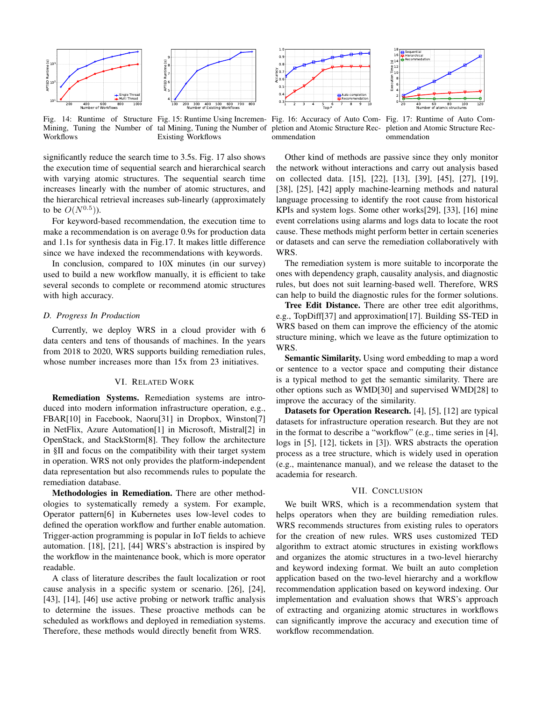



Fig. 14: Runtime of Structure Fig. 15: Runtime Using Incremen- Fig. 16: Accuracy of Auto Com- Fig. 17: Runtime of Auto Com-Mining, Tuning the Number of tal Mining, Tuning the Number of Workflows Existing Workflows

significantly reduce the search time to 3.5s. Fig. 17 also shows the execution time of sequential search and hierarchical search with varying atomic structures. The sequential search time increases linearly with the number of atomic structures, and the hierarchical retrieval increases sub-linearly (approximately to be  $O(N^{0.5})$ ).

For keyword-based recommendation, the execution time to make a recommendation is on average 0.9s for production data and 1.1s for synthesis data in Fig.17. It makes little difference since we have indexed the recommendations with keywords.

In conclusion, compared to 10X minutes (in our survey) used to build a new workflow manually, it is efficient to take several seconds to complete or recommend atomic structures with high accuracy.

#### *D. Progress In Production*

Currently, we deploy WRS in a cloud provider with 6 data centers and tens of thousands of machines. In the years from 2018 to 2020, WRS supports building remediation rules, whose number increases more than  $15x$  from 23 initiatives.

#### VI. RELATED WORK

Remediation Systems. Remediation systems are introduced into modern information infrastructure operation, e.g., FBAR[10] in Facebook, Naoru[31] in Dropbox, Winston[7] in NetFlix, Azure Automation[1] in Microsoft, Mistral[2] in OpenStack, and StackStorm[8]. They follow the architecture in §II and focus on the compatibility with their target system in operation. WRS not only provides the platform-independent data representation but also recommends rules to populate the remediation database.

Methodologies in Remediation. There are other methodologies to systematically remedy a system. For example, Operator pattern[6] in Kubernetes uses low-level codes to defined the operation workflow and further enable automation. Trigger-action programming is popular in IoT fields to achieve automation. [18], [21], [44] WRS's abstraction is inspired by the workflow in the maintenance book, which is more operator readable.

A class of literature describes the fault localization or root cause analysis in a specific system or scenario. [26], [24], [43], [14], [46] use active probing or network traffic analysis to determine the issues. These proactive methods can be scheduled as workflows and deployed in remediation systems. Therefore, these methods would directly benefit from WRS.





pletion and Atomic Structure Rec-pletion and Atomic Structure Recommendation

ommendation

Other kind of methods are passive since they only monitor the network without interactions and carry out analysis based on collected data. [15], [22], [13], [39], [45], [27], [19], [38], [25], [42] apply machine-learning methods and natural language processing to identify the root cause from historical KPIs and system logs. Some other works[29], [33], [16] mine event correlations using alarms and logs data to locate the root cause. These methods might perform better in certain sceneries or datasets and can serve the remediation collaboratively with WRS.

The remediation system is more suitable to incorporate the ones with dependency graph, causality analysis, and diagnostic rules, but does not suit learning-based well. Therefore, WRS can help to build the diagnostic rules for the former solutions.

Tree Edit Distance. There are other tree edit algorithms, e.g., TopDiff[37] and approximation[17]. Building SS-TED in WRS based on them can improve the efficiency of the atomic structure mining, which we leave as the future optimization to WRS.

Semantic Similarity. Using word embedding to map a word or sentence to a vector space and computing their distance is a typical method to get the semantic similarity. There are other options such as WMD[30] and supervised WMD[28] to improve the accuracy of the similarity.

Datasets for Operation Research. [4], [5], [12] are typical datasets for infrastructure operation research. But they are not in the format to describe a "workflow" (e.g., time series in [4], logs in [5], [12], tickets in [3]). WRS abstracts the operation process as a tree structure, which is widely used in operation (e.g., maintenance manual), and we release the dataset to the academia for research.

#### VII. CONCLUSION

We built WRS, which is a recommendation system that helps operators when they are building remediation rules. WRS recommends structures from existing rules to operators for the creation of new rules. WRS uses customized TED algorithm to extract atomic structures in existing workflows and organizes the atomic structures in a two-level hierarchy and keyword indexing format. We built an auto completion application based on the two-level hierarchy and a workflow recommendation application based on keyword indexing. Our implementation and evaluation shows that WRS's approach of extracting and organizing atomic structures in workflows can significantly improve the accuracy and execution time of workflow recommendation.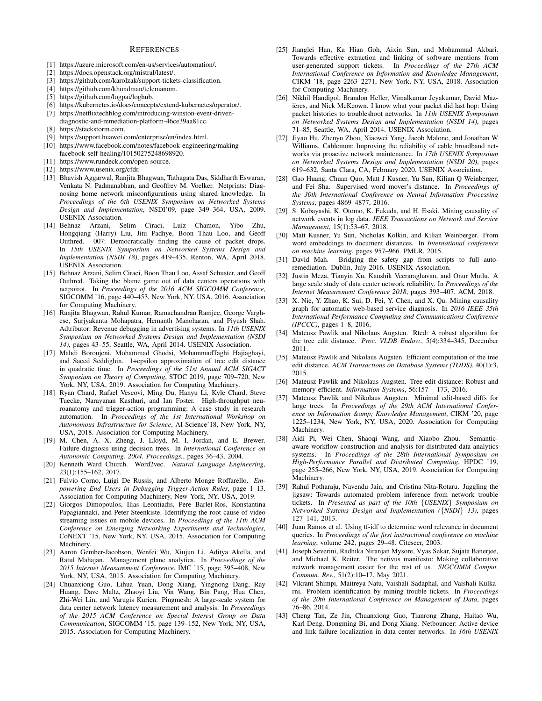#### **REFERENCES**

- [1] https://azure.microsoft.com/en-us/services/automation/.
- [2] https://docs.openstack.org/mistral/latest/.
- [3] https://github.com/karolzak/support-tickets-classification.
- [4] https://github.com/khundman/telemanom.
- [5] https://github.com/logpai/loghub.
- [6] https://kubernetes.io/docs/concepts/extend-kubernetes/operator/.
- [7] https://netflixtechblog.com/introducing-winston-event-drivendiagnostic-and-remediation-platform-46ce39aa81cc.
- [8] https://stackstorm.com.
- [9] https://support.huawei.com/enterprise/en/index.html.
- [10] https://www.facebook.com/notes/facebook-engineering/makingfacebook-self-healing/10150275248698920.
- [11] https://www.rundeck.com/open-source.
- [12] https://www.usenix.org/cfdr.
- [13] Bhavish Aggarwal, Ranjita Bhagwan, Tathagata Das, Siddharth Eswaran, Venkata N. Padmanabhan, and Geoffrey M. Voelker. Netprints: Diagnosing home network misconfigurations using shared knowledge. In *Proceedings of the 6th USENIX Symposium on Networked Systems Design and Implementation*, NSDI'09, page 349–364, USA, 2009. USENIX Association.
- [14] Behnaz Arzani, Selim Ciraci, Luiz Chamon, Yibo Zhu, Hongqiang (Harry) Liu, Jitu Padhye, Boon Thau Loo, and Geoff Outhred. 007: Democratically finding the cause of packet drops. In *15th USENIX Symposium on Networked Systems Design and Implementation (NSDI 18)*, pages 419–435, Renton, WA, April 2018. USENIX Association.
- [15] Behnaz Arzani, Selim Ciraci, Boon Thau Loo, Assaf Schuster, and Geoff Outhred. Taking the blame game out of data centers operations with netpoirot. In *Proceedings of the 2016 ACM SIGCOMM Conference*, SIGCOMM '16, page 440–453, New York, NY, USA, 2016. Association for Computing Machinery.
- [16] Ranjita Bhagwan, Rahul Kumar, Ramachandran Ramjee, George Varghese, Surjyakanta Mohapatra, Hemanth Manoharan, and Piyush Shah. Adtributor: Revenue debugging in advertising systems. In *11th USENIX Symposium on Networked Systems Design and Implementation (NSDI 14)*, pages 43–55, Seattle, WA, April 2014. USENIX Association.
- [17] Mahdi Boroujeni, Mohammad Ghodsi, MohammadTaghi Hajiaghayi, and Saeed Seddighin. 1+epsilon approximation of tree edit distance in quadratic time. In *Proceedings of the 51st Annual ACM SIGACT Symposium on Theory of Computing*, STOC 2019, page 709–720, New York, NY, USA, 2019. Association for Computing Machinery.
- [18] Ryan Chard, Rafael Vescovi, Ming Du, Hanyu Li, Kyle Chard, Steve Tuecke, Narayanan Kasthuri, and Ian Foster. High-throughput neuroanatomy and trigger-action programming: A case study in research automation. In *Proceedings of the 1st International Workshop on Autonomous Infrastructure for Science*, AI-Science'18, New York, NY, USA, 2018. Association for Computing Machinery.
- [19] M. Chen, A. X. Zheng, J. Lloyd, M. I. Jordan, and E. Brewer. Failure diagnosis using decision trees. In *International Conference on Autonomic Computing, 2004. Proceedings.*, pages 36–43, 2004.
- [20] Kenneth Ward Church. Word2vec. *Natural Language Engineering*, 23(1):155–162, 2017.
- [21] Fulvio Corno, Luigi De Russis, and Alberto Monge Roffarello. *Empowering End Users in Debugging Trigger-Action Rules*, page 1–13. Association for Computing Machinery, New York, NY, USA, 2019.
- [22] Giorgos Dimopoulos, Ilias Leontiadis, Pere Barlet-Ros, Konstantina Papagiannaki, and Peter Steenkiste. Identifying the root cause of video streaming issues on mobile devices. In *Proceedings of the 11th ACM Conference on Emerging Networking Experiments and Technologies*, CoNEXT '15, New York, NY, USA, 2015. Association for Computing Machinery.
- [23] Aaron Gember-Jacobson, Wenfei Wu, Xiujun Li, Aditya Akella, and Ratul Mahajan. Management plane analytics. In *Proceedings of the 2015 Internet Measurement Conference*, IMC '15, page 395–408, New York, NY, USA, 2015. Association for Computing Machinery.
- [24] Chuanxiong Guo, Lihua Yuan, Dong Xiang, Yingnong Dang, Ray Huang, Dave Maltz, Zhaoyi Liu, Vin Wang, Bin Pang, Hua Chen, Zhi-Wei Lin, and Varugis Kurien. Pingmesh: A large-scale system for data center network latency measurement and analysis. In *Proceedings of the 2015 ACM Conference on Special Interest Group on Data Communication*, SIGCOMM '15, page 139–152, New York, NY, USA, 2015. Association for Computing Machinery.
- [25] Jianglei Han, Ka Hian Goh, Aixin Sun, and Mohammad Akbari. Towards effective extraction and linking of software mentions from user-generated support tickets. In *Proceedings of the 27th ACM International Conference on Information and Knowledge Management*, CIKM '18, page 2263–2271, New York, NY, USA, 2018. Association for Computing Machinery.
- [26] Nikhil Handigol, Brandon Heller, Vimalkumar Jeyakumar, David Mazières, and Nick McKeown. I know what your packet did last hop: Using packet histories to troubleshoot networks. In *11th USENIX Symposium on Networked Systems Design and Implementation (NSDI 14)*, pages 71–85, Seattle, WA, April 2014. USENIX Association.
- [27] Jiyao Hu, Zhenyu Zhou, Xiaowei Yang, Jacob Malone, and Jonathan W Williams. Cablemon: Improving the reliability of cable broadband networks via proactive network maintenance. In *17th USENIX Symposium on Networked Systems Design and Implementation (NSDI 20)*, pages 619–632, Santa Clara, CA, February 2020. USENIX Association.
- [28] Gao Huang, Chuan Quo, Matt J Kusner, Yu Sun, Kilian Q Weinberger, and Fei Sha. Supervised word mover's distance. In *Proceedings of the 30th International Conference on Neural Information Processing Systems*, pages 4869–4877, 2016.
- [29] S. Kobayashi, K. Otomo, K. Fukuda, and H. Esaki. Mining causality of network events in log data. *IEEE Transactions on Network and Service Management*, 15(1):53–67, 2018.
- [30] Matt Kusner, Yu Sun, Nicholas Kolkin, and Kilian Weinberger. From word embeddings to document distances. In *International conference on machine learning*, pages 957–966. PMLR, 2015.
- [31] David Mah. Bridging the safety gap from scripts to full autoremediation. Dublin, July 2016. USENIX Association.
- [32] Justin Meza, Tianyin Xu, Kaushik Veeraraghavan, and Onur Mutlu. A large scale study of data center network reliability. In *Proceedings of the Internet Measurement Conference 2018*, pages 393–407. ACM, 2018.
- [33] X. Nie, Y. Zhao, K. Sui, D. Pei, Y. Chen, and X. Qu. Mining causality graph for automatic web-based service diagnosis. In *2016 IEEE 35th International Performance Computing and Communications Conference (IPCCC)*, pages 1–8, 2016.
- [34] Mateusz Pawlik and Nikolaus Augsten. Rted: A robust algorithm for the tree edit distance. *Proc. VLDB Endow.*, 5(4):334–345, December 2011.
- [35] Mateusz Pawlik and Nikolaus Augsten. Efficient computation of the tree edit distance. *ACM Transactions on Database Systems (TODS)*, 40(1):3, 2015.
- [36] Mateusz Pawlik and Nikolaus Augsten. Tree edit distance: Robust and memory-efficient. *Information Systems*, 56:157 – 173, 2016.
- [37] Mateusz Pawlik and Nikolaus Augsten. Minimal edit-based diffs for large trees. In *Proceedings of the 29th ACM International Confer*ence on Information & amp; Knowledge Management, CIKM '20, page 1225–1234, New York, NY, USA, 2020. Association for Computing Machinery.
- [38] Aidi Pi, Wei Chen, Shaoqi Wang, and Xiaobo Zhou. Semanticaware workflow construction and analysis for distributed data analytics systems. In *Proceedings of the 28th International Symposium on High-Performance Parallel and Distributed Computing*, HPDC '19, page 255–266, New York, NY, USA, 2019. Association for Computing Machinery.
- [39] Rahul Potharaju, Navendu Jain, and Cristina Nita-Rotaru. Juggling the jigsaw: Towards automated problem inference from network trouble tickets. In *Presented as part of the 10th* {*USENIX*} *Symposium on Networked Systems Design and Implementation (*{*NSDI*} *13)*, pages 127–141, 2013.
- [40] Juan Ramos et al. Using tf-idf to determine word relevance in document queries. In *Proceedings of the first instructional conference on machine learning*, volume 242, pages 29–48. Citeseer, 2003.
- [41] Joseph Severini, Radhika Niranjan Mysore, Vyas Sekar, Sujata Banerjee, and Michael K. Reiter. The netivus manifesto: Making collaborative network management easier for the rest of us. *SIGCOMM Comput. Commun. Rev.*, 51(2):10–17, May 2021.
- [42] Vikrant Shimpi, Maitreya Natu, Vaishali Sadaphal, and Vaishali Kulkarni. Problem identification by mining trouble tickets. In *Proceedings of the 20th International Conference on Management of Data*, pages 76–86, 2014.
- [43] Cheng Tan, Ze Jin, Chuanxiong Guo, Tianrong Zhang, Haitao Wu, Karl Deng, Dongming Bi, and Dong Xiang. Netbouncer: Active device and link failure localization in data center networks. In *16th USENIX*